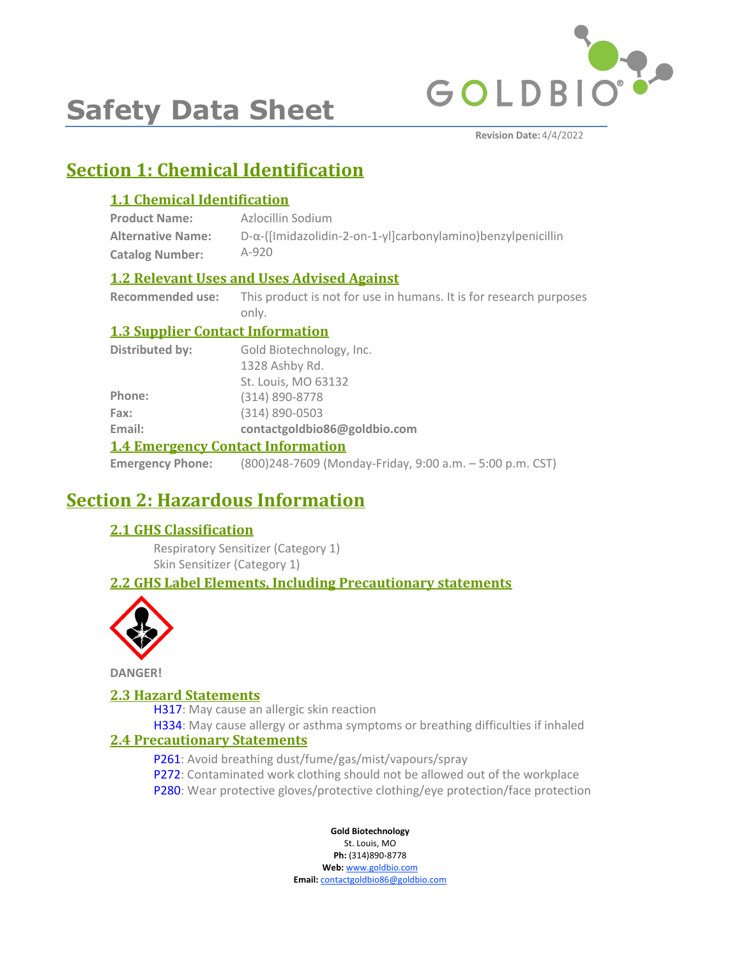

# **Safety Data Sheet**

# **Section 1: Chemical Identification**

# **1.1 Chemical Identification**

| <b>Product Name:</b>     | Azlocillin Sodium                                                   |
|--------------------------|---------------------------------------------------------------------|
| <b>Alternative Name:</b> | $D-\alpha$ -([Imidazolidin-2-on-1-yl]carbonylamino)benzylpenicillin |
| <b>Catalog Number:</b>   | $A-920$                                                             |

### **1.2 Relevant Uses and Uses Advised Against**

**Recommended use:** This product is not for use in humans. It is for research purposes only.

### **1.3 Supplier Contact Information**

| Distributed by:                          | Gold Biotechnology, Inc.     |  |
|------------------------------------------|------------------------------|--|
|                                          | 1328 Ashby Rd.               |  |
|                                          | St. Louis, MO 63132          |  |
| Phone:                                   | $(314) 890 - 8778$           |  |
| Fax:                                     | $(314) 890 - 0503$           |  |
| Email:                                   | contactgoldbio86@goldbio.com |  |
| <b>1.4 Emergency Contact Information</b> |                              |  |

#### **Emergency Phone:** (800)248-7609 (Monday-Friday, 9:00 a.m. – 5:00 p.m. CST)

# **Section 2: Hazardous Information**

### **2.1 GHS Classification**

Respiratory Sensitizer (Category 1) Skin Sensitizer (Category 1)

# **2.2 GHS Label Elements, Including Precautionary statements**



**DANGER!**

### **2.3 Hazard Statements**

H317: May cause an allergic skin reaction

H334: May cause allergy or asthma symptoms or breathing difficulties if inhaled

### **2.4 Precautionary Statements**

- P261: Avoid breathing dust/fume/gas/mist/vapours/spray
- P272: Contaminated work clothing should not be allowed out of the workplace
- P280: Wear protective gloves/protective clothing/eye protection/face protection

### **Gold Biotechnology**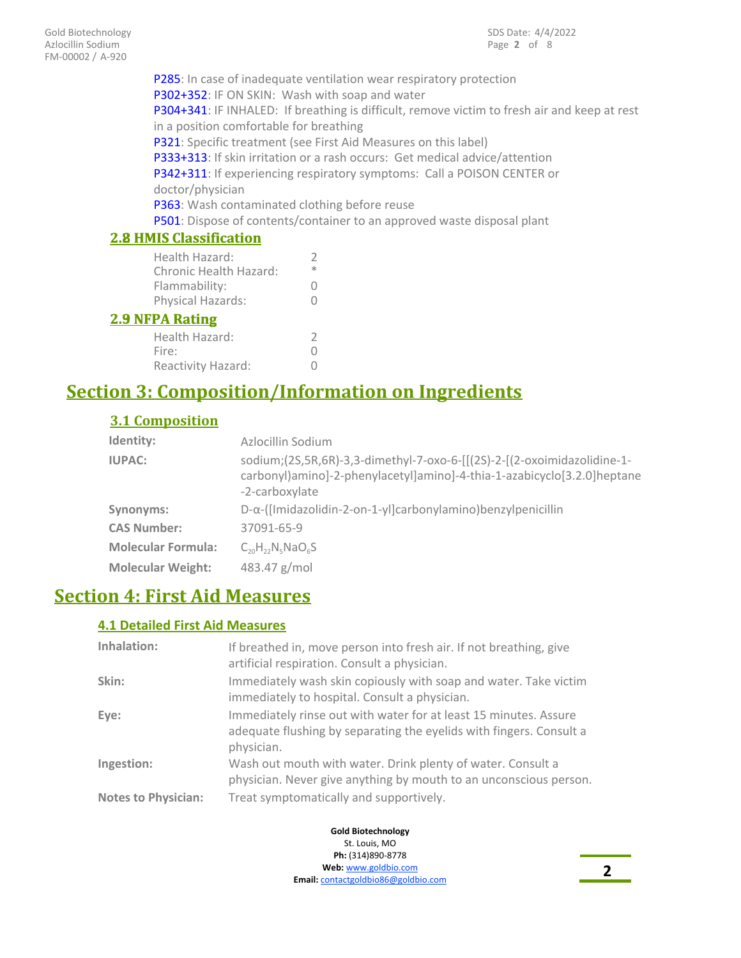P285: In case of inadequate ventilation wear respiratory protection P302+352: IF ON SKIN: Wash with soap and water P304+341: IF INHALED: If breathing is difficult, remove victim to fresh air and keep at rest in a position comfortable for breathing P321: Specific treatment (see First Aid Measures on this label) P333+313: If skin irritation or a rash occurs: Get medical advice/attention P342+311: If experiencing respiratory symptoms: Call a POISON CENTER or doctor/physician P363: Wash contaminated clothing before reuse P501: Dispose of contents/container to an approved waste disposal plant

# **2.8 HMIS Classification**

| <b>2.8 HMIS Classification</b> |   |
|--------------------------------|---|
| Health Hazard:                 | V |
| Chronic Health Hazard:         | * |
| Flammability:                  | Ω |
| Physical Hazards:              |   |
| <b>2.9 NFPA Rating</b>         |   |

| Health Hazard:     |   |
|--------------------|---|
| Fire:              | 0 |
| Reactivity Hazard: | 0 |

# **Section 3: Composition/Information on Ingredients**

### **3.1 Composition**

| Identity:                 | Azlocillin Sodium                                                                                                                                                    |
|---------------------------|----------------------------------------------------------------------------------------------------------------------------------------------------------------------|
| <b>IUPAC:</b>             | sodium;(2S,5R,6R)-3,3-dimethyl-7-oxo-6-[[(2S)-2-[(2-oxoimidazolidine-1-<br>carbonyl)amino]-2-phenylacetyl]amino]-4-thia-1-azabicyclo[3.2.0]heptane<br>-2-carboxylate |
| Synonyms:                 | $D-\alpha$ -([Imidazolidin-2-on-1-yl]carbonylamino)benzylpenicillin                                                                                                  |
| <b>CAS Number:</b>        | 37091-65-9                                                                                                                                                           |
| <b>Molecular Formula:</b> | $C_{20}H_{22}N_{5}NaO_{6}S$                                                                                                                                          |
| <b>Molecular Weight:</b>  | 483.47 g/mol                                                                                                                                                         |

# **Section 4: First Aid Measures**

### **4.1 Detailed First Aid Measures**

| Inhalation:                | If breathed in, move person into fresh air. If not breathing, give<br>artificial respiration. Consult a physician.                                    |
|----------------------------|-------------------------------------------------------------------------------------------------------------------------------------------------------|
| Skin:                      | Immediately wash skin copiously with soap and water. Take victim<br>immediately to hospital. Consult a physician.                                     |
| Eye:                       | Immediately rinse out with water for at least 15 minutes. Assure<br>adequate flushing by separating the eyelids with fingers. Consult a<br>physician. |
| Ingestion:                 | Wash out mouth with water. Drink plenty of water. Consult a<br>physician. Never give anything by mouth to an unconscious person.                      |
| <b>Notes to Physician:</b> | Treat symptomatically and supportively.                                                                                                               |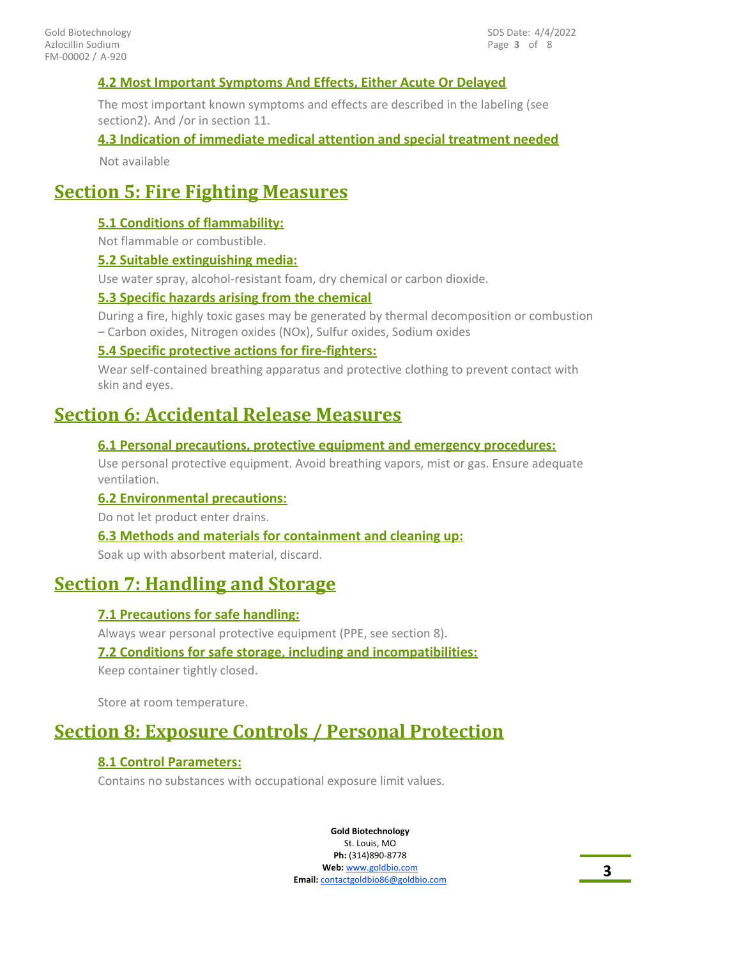### **4.2 Most Important Symptoms And Effects, Either Acute Or Delayed**

The most important known symptoms and effects are described in the labeling (see section2). And /or in section 11.

### **4.3 Indication of immediate medical attention and special treatment needed**

Not available

# **Section 5: Fire Fighting Measures**

### **5.1 Conditions of flammability:**

Not flammable or combustible.

### **5.2 Suitable extinguishing media:**

Use water spray, alcohol-resistant foam, dry chemical or carbon dioxide.

### **5.3 Specific hazards arising from the chemical**

During a fire, highly toxic gases may be generated by thermal decomposition or combustion – Carbon oxides, Nitrogen oxides (NOx), Sulfur oxides, Sodium oxides

### **5.4 Specific protective actions for fire-fighters:**

Wear self-contained breathing apparatus and protective clothing to prevent contact with skin and eyes.

# **Section 6: Accidental Release Measures**

### **6.1 Personal precautions, protective equipment and emergency procedures:**

Use personal protective equipment. Avoid breathing vapors, mist or gas. Ensure adequate ventilation.

### **6.2 Environmental precautions:**

Do not let product enter drains.

#### **6.3 Methods and materials for containment and cleaning up:**

Soak up with absorbent material, discard.

# **Section 7: Handling and Storage**

### **7.1 Precautions for safe handling:**

Always wear personal protective equipment (PPE, see section 8).

### **7.2 Conditions for safe storage, including and incompatibilities:**

Keep container tightly closed.

Store at room temperature.

# **Section 8: Exposure Controls / Personal Protection**

### **8.1 Control Parameters:**

Contains no substances with occupational exposure limit values.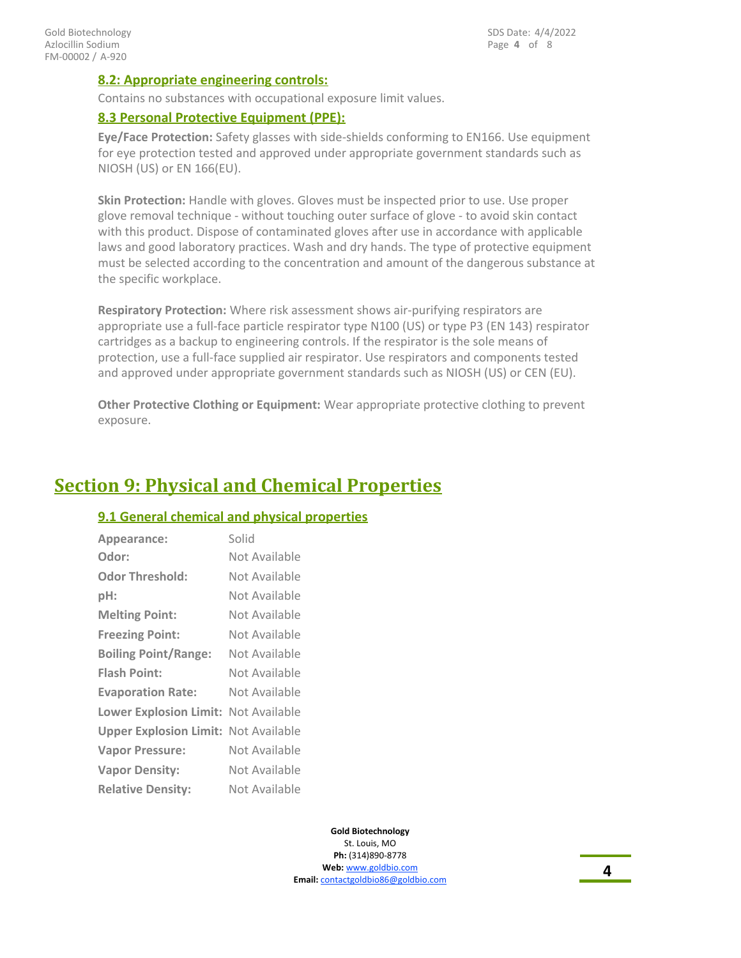### **8.2: Appropriate engineering controls:**

Contains no substances with occupational exposure limit values.

### **8.3 Personal Protective Equipment (PPE):**

**Eye/Face Protection:** Safety glasses with side-shields conforming to EN166. Use equipment for eye protection tested and approved under appropriate government standards such as NIOSH (US) or EN 166(EU).

**Skin Protection:** Handle with gloves. Gloves must be inspected prior to use. Use proper glove removal technique - without touching outer surface of glove - to avoid skin contact with this product. Dispose of contaminated gloves after use in accordance with applicable laws and good laboratory practices. Wash and dry hands. The type of protective equipment must be selected according to the concentration and amount of the dangerous substance at the specific workplace.

**Respiratory Protection:** Where risk assessment shows air-purifying respirators are appropriate use a full-face particle respirator type N100 (US) or type P3 (EN 143) respirator cartridges as a backup to engineering controls. If the respirator is the sole means of protection, use a full-face supplied air respirator. Use respirators and components tested and approved under appropriate government standards such as NIOSH (US) or CEN (EU).

**Other Protective Clothing or Equipment:** Wear appropriate protective clothing to prevent exposure.

# **Section 9: Physical and Chemical Properties**

### **9.1 General chemical and physical properties**

| Appearance:                                 | Solid         |
|---------------------------------------------|---------------|
| Odor:                                       | Not Available |
| <b>Odor Threshold:</b>                      | Not Available |
| pH:                                         | Not Available |
| <b>Melting Point:</b>                       | Not Available |
| <b>Freezing Point:</b>                      | Not Available |
| <b>Boiling Point/Range:</b>                 | Not Available |
| <b>Flash Point:</b>                         | Not Available |
| <b>Evaporation Rate:</b>                    | Not Available |
| <b>Lower Explosion Limit:</b>               | Not Available |
| <b>Upper Explosion Limit: Not Available</b> |               |
| <b>Vapor Pressure:</b>                      | Not Available |
| <b>Vapor Density:</b>                       | Not Available |
| <b>Relative Density:</b>                    | Not Available |

**Gold Biotechnology** St. Louis, MO **Ph:** (314)890-8778 **Web:** www.goldbio.com **Email:** contactgoldbio.com **4**<br>**Email:** contactgoldbio86@goldbio.com **4**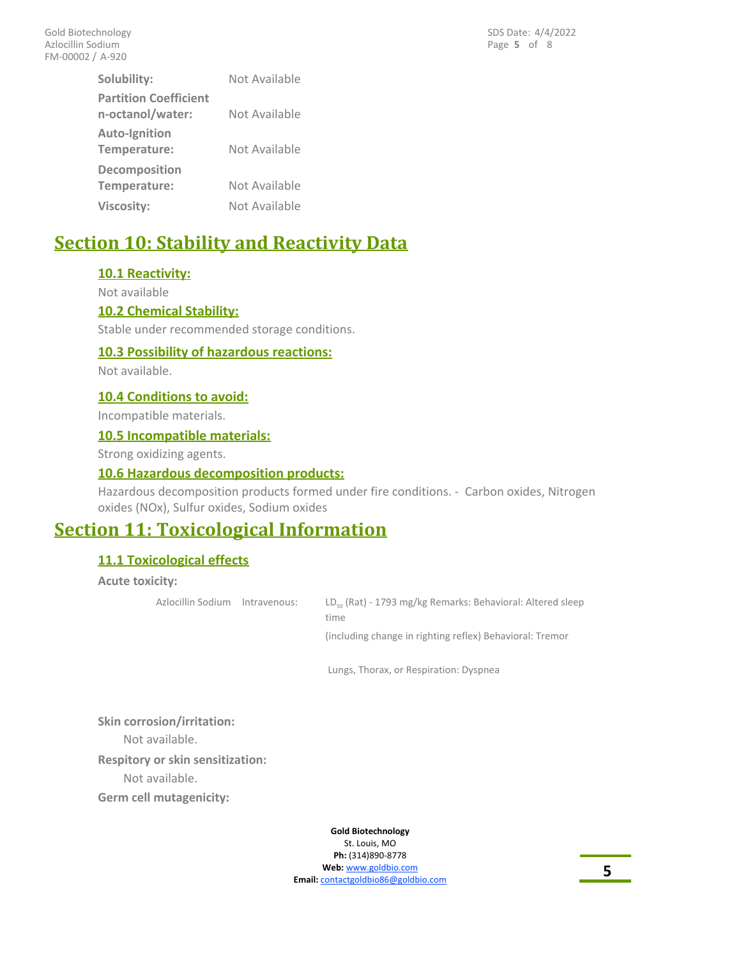| Solubility:                                      | Not Available |
|--------------------------------------------------|---------------|
| <b>Partition Coefficient</b><br>n-octanol/water: | Not Available |
| Auto-Ignition<br>Temperature:                    | Not Available |
| <b>Decomposition</b><br>Temperature:             | Not Available |
| <b>Viscosity:</b>                                | Not Available |
|                                                  |               |

# **Section 10: Stability and Reactivity Data**

### **10.1 Reactivity:**

Not available

### **10.2 Chemical Stability:**

Stable under recommended storage conditions.

### **10.3 Possibility of hazardous reactions:**

Not available.

### **10.4 Conditions to avoid:**

Incompatible materials.

### **10.5 Incompatible materials:**

Strong oxidizing agents.

### **10.6 Hazardous decomposition products:**

Hazardous decomposition products formed under fire conditions. - Carbon oxides, Nitrogen oxides (NOx), Sulfur oxides, Sodium oxides

# **Section 11: Toxicological Information**

### **11.1 Toxicological effects**

**Acute toxicity:**

LD<sub>50</sub> (Rat) - 1793 mg/kg Remarks: Behavioral: Altered sleep time Azlocillin Sodium Intravenous: (including change in righting reflex) Behavioral: Tremor

Lungs, Thorax, or Respiration: Dyspnea

**Skin corrosion/irritation:**

Not available.

**Respitory or skin sensitization:**

Not available.

**Germ cell mutagenicity:**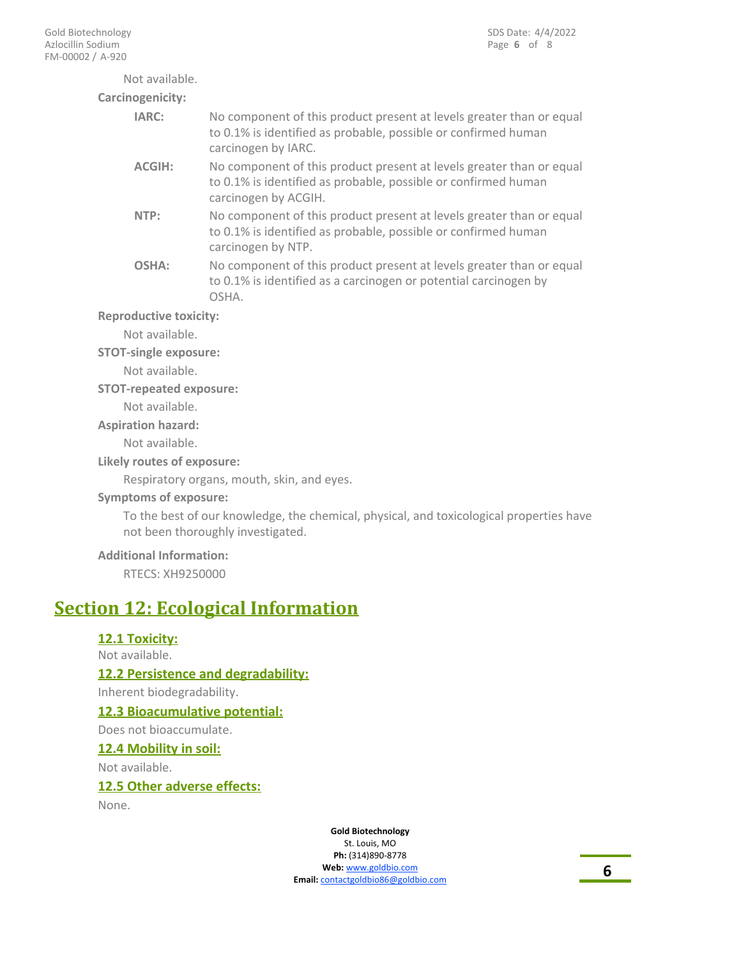Not available. **Carcinogenicity:**

| 10genicity:   |                                                                                                                                                                |
|---------------|----------------------------------------------------------------------------------------------------------------------------------------------------------------|
| IARC:         | No component of this product present at levels greater than or equal<br>to 0.1% is identified as probable, possible or confirmed human<br>carcinogen by IARC.  |
| <b>ACGIH:</b> | No component of this product present at levels greater than or equal<br>to 0.1% is identified as probable, possible or confirmed human<br>carcinogen by ACGIH. |
| NTP:          | No component of this product present at levels greater than or equal<br>to 0.1% is identified as probable, possible or confirmed human<br>carcinogen by NTP.   |
| <b>OSHA:</b>  | No component of this product present at levels greater than or equal<br>to 0.1% is identified as a carcinogen or potential carcinogen by<br>OSHA.              |
|               |                                                                                                                                                                |

**Reproductive toxicity:**

Not available.

### **STOT-single exposure:**

Not available.

### **STOT-repeated exposure:**

Not available.

#### **Aspiration hazard:**

Not available.

### **Likely routes of exposure:**

Respiratory organs, mouth, skin, and eyes.

### **Symptoms of exposure:**

To the best of our knowledge, the chemical, physical, and toxicological properties have not been thoroughly investigated.

### **Additional Information:**

RTECS: XH9250000

# **Section 12: Ecological Information**

### **12.1 Toxicity:**

#### Not available.

**12.2 Persistence and degradability:**

Inherent biodegradability.

### **12.3 Bioacumulative potential:**

Does not bioaccumulate.

### **12.4 Mobility in soil:**

Not available.

### **12.5 Other adverse effects:**

None.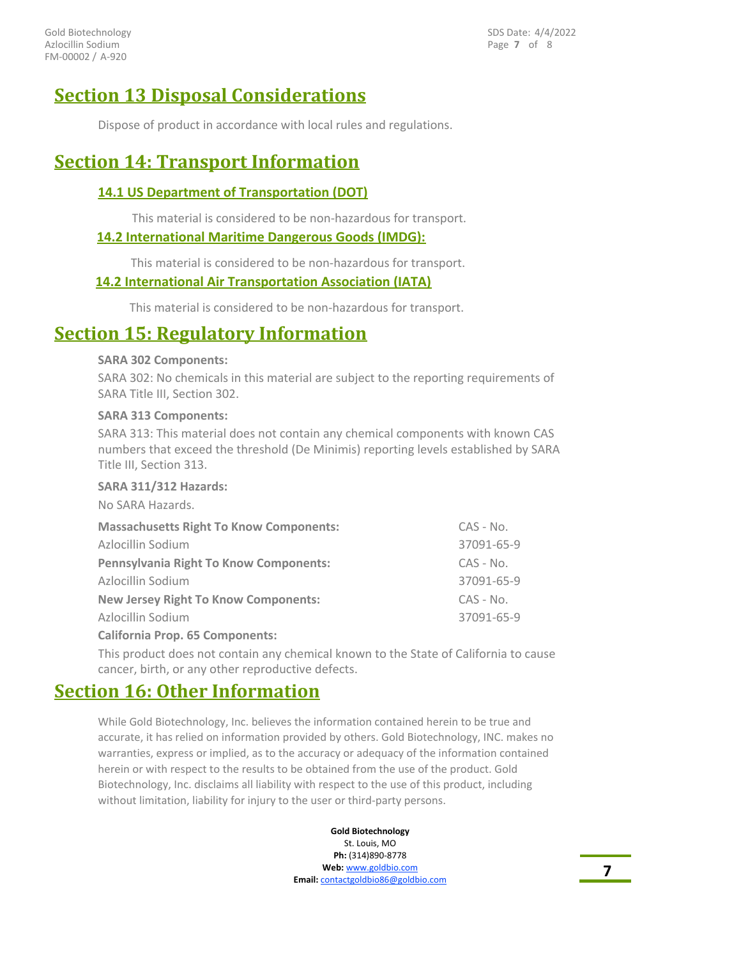FM-00002 / A-920 Gold Biotechnology Azlocillin Sodium

Page **7** of 8 SDS Date: 4/4/2022

# **Section 13 Disposal Considerations**

Dispose of product in accordance with local rules and regulations.

# **Section 14: Transport Information**

### **14.1 US Department of Transportation (DOT)**

This material is considered to be non-hazardous for transport.

### **14.2 International Maritime Dangerous Goods (IMDG):**

This material is considered to be non-hazardous for transport.

### **14.2 International Air Transportation Association (IATA)**

This material is considered to be non-hazardous for transport.

# **Section 15: Regulatory Information**

#### **SARA 302 Components:**

SARA 302: No chemicals in this material are subject to the reporting requirements of SARA Title III, Section 302.

#### **SARA 313 Components:**

SARA 313: This material does not contain any chemical components with known CAS numbers that exceed the threshold (De Minimis) reporting levels established by SARA Title III, Section 313.

#### **SARA 311/312 Hazards:**

No SARA Hazards.

| <b>Massachusetts Right To Know Components:</b> | CAS - No.   |
|------------------------------------------------|-------------|
| Azlocillin Sodium                              | 37091-65-9  |
| <b>Pennsylvania Right To Know Components:</b>  | $CAS - No.$ |
| Azlocillin Sodium                              | 37091-65-9  |
| <b>New Jersey Right To Know Components:</b>    | $CAS - No.$ |
| Azlocillin Sodium                              | 37091-65-9  |
|                                                |             |

**California Prop. 65 Components:**

This product does not contain any chemical known to the State of California to cause cancer, birth, or any other reproductive defects.

# **Section 16: Other Information**

While Gold Biotechnology, Inc. believes the information contained herein to be true and accurate, it has relied on information provided by others. Gold Biotechnology, INC. makes no warranties, express or implied, as to the accuracy or adequacy of the information contained herein or with respect to the results to be obtained from the use of the product. Gold Biotechnology, Inc. disclaims all liability with respect to the use of this product, including without limitation, liability for injury to the user or third-party persons.